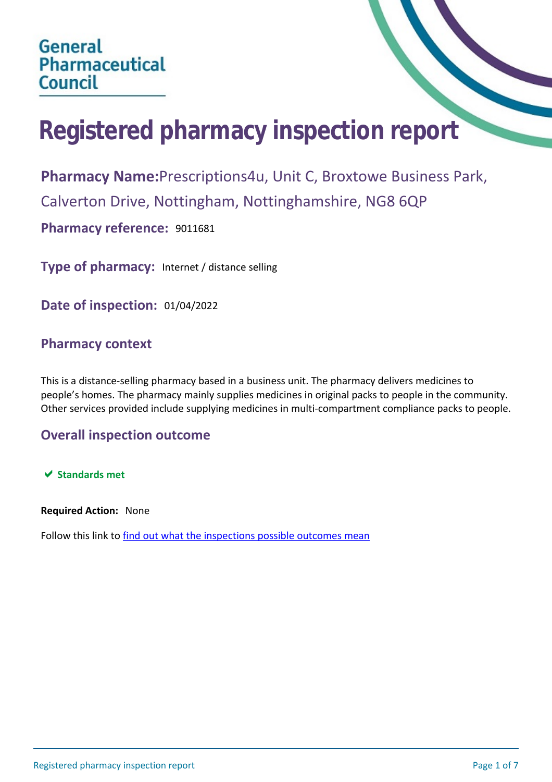# **Registered pharmacy inspection report**

**Pharmacy Name:**Prescriptions4u, Unit C, Broxtowe Business Park, Calverton Drive, Nottingham, Nottinghamshire, NG8 6QP **Pharmacy reference:** 9011681

**Type of pharmacy:** Internet / distance selling

**Date of inspection:** 01/04/2022

## **Pharmacy context**

This is a distance-selling pharmacy based in a business unit. The pharmacy delivers medicines to people's homes. The pharmacy mainly supplies medicines in original packs to people in the community. Other services provided include supplying medicines in multi-compartment compliance packs to people.

## **Overall inspection outcome**

 $★$  **Standards met** 

**Required Action:** None

Follow this link to [find out what the inspections possible outcomes mean](#page-6-0)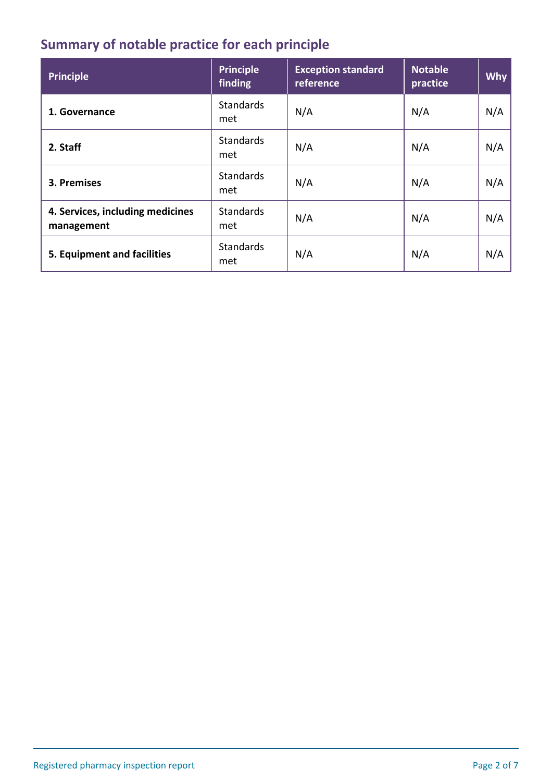# **Summary of notable practice for each principle**

| <b>Principle</b>                               | <b>Principle</b><br>finding | <b>Exception standard</b><br>reference | <b>Notable</b><br>practice | <b>Why</b> |
|------------------------------------------------|-----------------------------|----------------------------------------|----------------------------|------------|
| 1. Governance                                  | <b>Standards</b><br>met     | N/A                                    | N/A                        | N/A        |
| 2. Staff                                       | <b>Standards</b><br>met     | N/A                                    | N/A                        | N/A        |
| 3. Premises                                    | <b>Standards</b><br>met     | N/A                                    | N/A                        | N/A        |
| 4. Services, including medicines<br>management | <b>Standards</b><br>met     | N/A                                    | N/A                        | N/A        |
| 5. Equipment and facilities                    | <b>Standards</b><br>met     | N/A                                    | N/A                        | N/A        |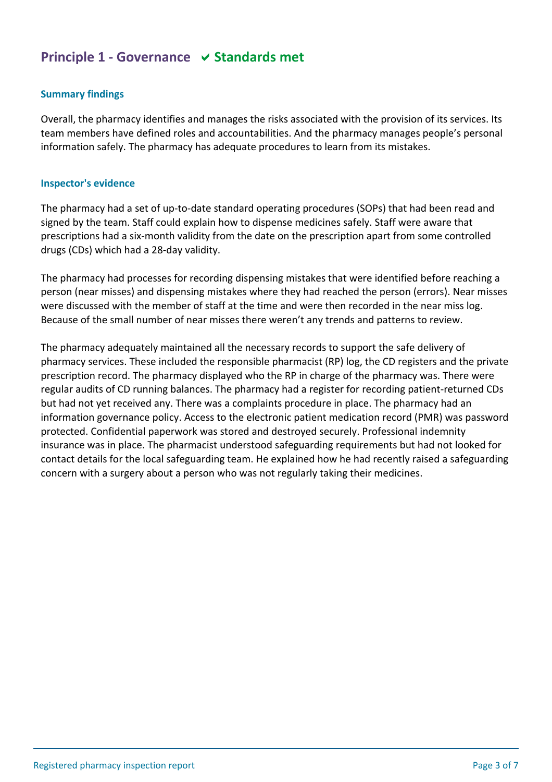## **Principle 1 - Governance**  $\vee$  **Standards met**

#### **Summary findings**

Overall, the pharmacy identifies and manages the risks associated with the provision of its services. Its team members have defined roles and accountabilities. And the pharmacy manages people's personal information safely. The pharmacy has adequate procedures to learn from its mistakes.

#### **Inspector's evidence**

The pharmacy had a set of up-to-date standard operating procedures (SOPs) that had been read and signed by the team. Staff could explain how to dispense medicines safely. Staff were aware that prescriptions had a six-month validity from the date on the prescription apart from some controlled drugs (CDs) which had a 28-day validity.

The pharmacy had processes for recording dispensing mistakes that were identified before reaching a person (near misses) and dispensing mistakes where they had reached the person (errors). Near misses were discussed with the member of staff at the time and were then recorded in the near miss log. Because of the small number of near misses there weren't any trends and patterns to review.

The pharmacy adequately maintained all the necessary records to support the safe delivery of pharmacy services. These included the responsible pharmacist (RP) log, the CD registers and the private prescription record. The pharmacy displayed who the RP in charge of the pharmacy was. There were regular audits of CD running balances. The pharmacy had a register for recording patient-returned CDs but had not yet received any. There was a complaints procedure in place. The pharmacy had an information governance policy. Access to the electronic patient medication record (PMR) was password protected. Confidential paperwork was stored and destroyed securely. Professional indemnity insurance was in place. The pharmacist understood safeguarding requirements but had not looked for contact details for the local safeguarding team. He explained how he had recently raised a safeguarding concern with a surgery about a person who was not regularly taking their medicines.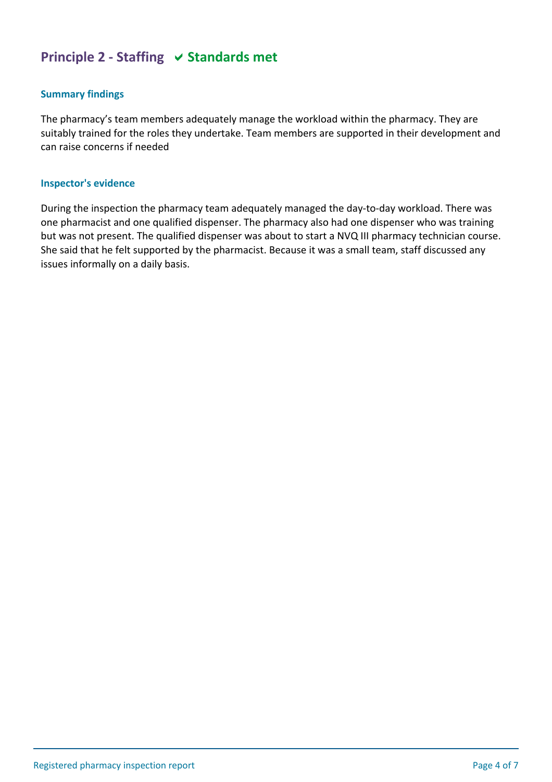## **Principle 2 - Staffing**  $\vee$  **Standards met**

#### **Summary findings**

The pharmacy's team members adequately manage the workload within the pharmacy. They are suitably trained for the roles they undertake. Team members are supported in their development and can raise concerns if needed

#### **Inspector's evidence**

During the inspection the pharmacy team adequately managed the day-to-day workload. There was one pharmacist and one qualified dispenser. The pharmacy also had one dispenser who was training but was not present. The qualified dispenser was about to start a NVQ III pharmacy technician course. She said that he felt supported by the pharmacist. Because it was a small team, staff discussed any issues informally on a daily basis.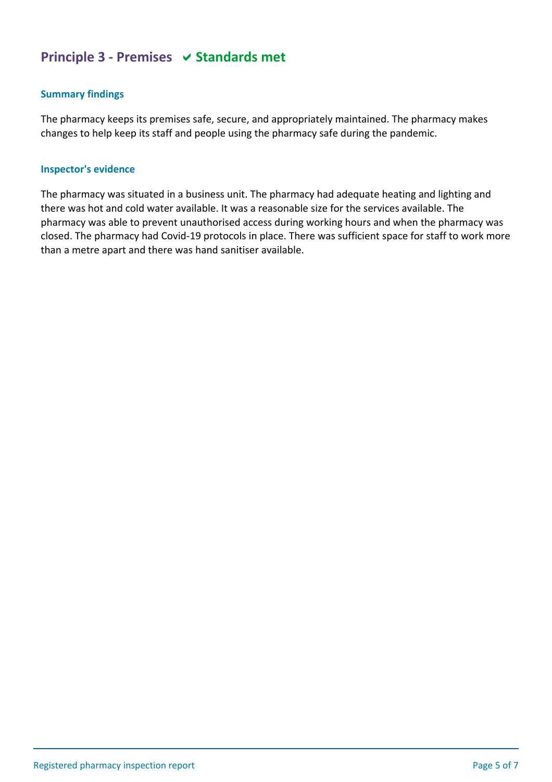## **Principle 3 - Premises**  $\vee$  **Standards met**

## **Summary findings**

The pharmacy keeps its premises safe, secure, and appropriately maintained. The pharmacy makes changes to help keep its staff and people using the pharmacy safe during the pandemic.

#### **Inspector's evidence**

The pharmacy was situated in a business unit. The pharmacy had adequate heating and lighting and there was hot and cold water available. It was a reasonable size for the services available. The pharmacy was able to prevent unauthorised access during working hours and when the pharmacy was closed. The pharmacy had Covid-19 protocols in place. There was sufficient space for staff to work more than a metre apart and there was hand sanitiser available.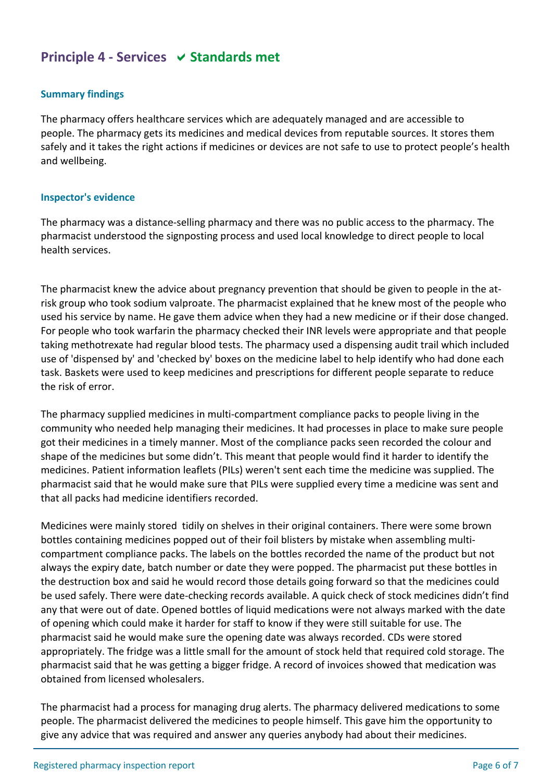## **Principle 4 - Services**  $\vee$  **Standards met**

## **Summary findings**

The pharmacy offers healthcare services which are adequately managed and are accessible to people. The pharmacy gets its medicines and medical devices from reputable sources. It stores them safely and it takes the right actions if medicines or devices are not safe to use to protect people's health and wellbeing.

#### **Inspector's evidence**

The pharmacy was a distance-selling pharmacy and there was no public access to the pharmacy. The pharmacist understood the signposting process and used local knowledge to direct people to local health services.

The pharmacist knew the advice about pregnancy prevention that should be given to people in the atrisk group who took sodium valproate. The pharmacist explained that he knew most of the people who used his service by name. He gave them advice when they had a new medicine or if their dose changed. For people who took warfarin the pharmacy checked their INR levels were appropriate and that people taking methotrexate had regular blood tests. The pharmacy used a dispensing audit trail which included use of 'dispensed by' and 'checked by' boxes on the medicine label to help identify who had done each task. Baskets were used to keep medicines and prescriptions for different people separate to reduce the risk of error.

The pharmacy supplied medicines in multi-compartment compliance packs to people living in the community who needed help managing their medicines. It had processes in place to make sure people got their medicines in a timely manner. Most of the compliance packs seen recorded the colour and shape of the medicines but some didn't. This meant that people would find it harder to identify the medicines. Patient information leaflets (PILs) weren't sent each time the medicine was supplied. The pharmacist said that he would make sure that PILs were supplied every time a medicine was sent and that all packs had medicine identifiers recorded.

Medicines were mainly stored tidily on shelves in their original containers. There were some brown bottles containing medicines popped out of their foil blisters by mistake when assembling multicompartment compliance packs. The labels on the bottles recorded the name of the product but not always the expiry date, batch number or date they were popped. The pharmacist put these bottles in the destruction box and said he would record those details going forward so that the medicines could be used safely. There were date-checking records available. A quick check of stock medicines didn't find any that were out of date. Opened bottles of liquid medications were not always marked with the date of opening which could make it harder for staff to know if they were still suitable for use. The pharmacist said he would make sure the opening date was always recorded. CDs were stored appropriately. The fridge was a little small for the amount of stock held that required cold storage. The pharmacist said that he was getting a bigger fridge. A record of invoices showed that medication was obtained from licensed wholesalers.

The pharmacist had a process for managing drug alerts. The pharmacy delivered medications to some people. The pharmacist delivered the medicines to people himself. This gave him the opportunity to give any advice that was required and answer any queries anybody had about their medicines.